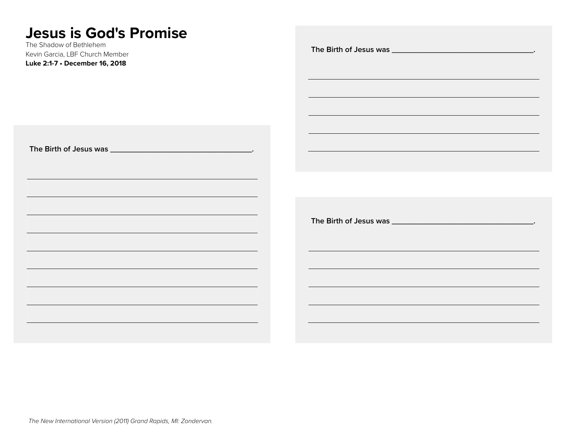# **Jesus is God's Promise**

The Shadow of Bethlehem Kevin Garcia, LBF Church Member

| THE UNDER OF DEGREE IN<br>Kevin Garcia, LBF Church Member<br>Luke 2:1-7 · December 16, 2018                                                                                           |                                                                                                                                                                                                                                           |
|---------------------------------------------------------------------------------------------------------------------------------------------------------------------------------------|-------------------------------------------------------------------------------------------------------------------------------------------------------------------------------------------------------------------------------------------|
|                                                                                                                                                                                       | and the control of the control of the control of the control of the control of the control of the control of the<br><u> 1989 - An Dùbhlachd ann an Dùbhlachd ann an Dùbhlachd ann an Dùbhlachd ann an Dùbhlachd ann an Dùbhlachd ann </u> |
|                                                                                                                                                                                       |                                                                                                                                                                                                                                           |
| and the control of the control of the control of the control of the control of the control of the control of the                                                                      |                                                                                                                                                                                                                                           |
| <u> 1989 - Johann Stoff, amerikansk politiker (d. 1989)</u><br>and the control of the control of the control of the control of the control of the control of the control of the       |                                                                                                                                                                                                                                           |
| <u> 1989 - Johann Stoff, amerikansk politiker (d. 1989)</u><br><u> 1989 - Johann Stoff, deutscher Stoffen und der Stoffen und der Stoffen und der Stoffen und der Stoffen und der</u> | the control of the control of the control of the control of the control of the control of the control of the control of the control of the control of the control of the control of the control of the control of the control             |
| <u> 1989 - Johann Stoff, amerikansk politiker (d. 1989)</u><br>and the control of the control of the control of the control of the control of the control of the control of the       | ,我们也不能在这里的时候,我们也不能在这里的时候,我们也不能会在这里的时候,我们也不能会在这里的时候,我们也不能会在这里的时候,我们也不能会在这里的时候,我们也                                                                                                                                                          |
|                                                                                                                                                                                       |                                                                                                                                                                                                                                           |
|                                                                                                                                                                                       |                                                                                                                                                                                                                                           |